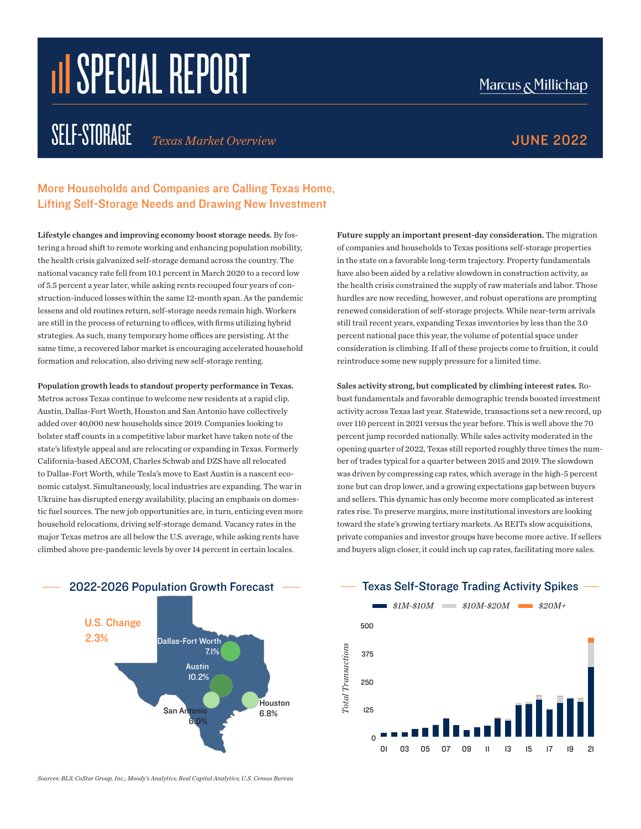# **III SPECIAL REPORT**

### SELF-STORAGE *Texas Market Overview* JUNE 2022

### Marcus & Millichap

More Households and Companies are Calling Texas Home, Lifting Self-Storage Needs and Drawing New Investment

Lifestyle changes and improving economy boost storage needs. By fostering a broad shift to remote working and enhancing population mobility, the health crisis galvanized self-storage demand across the country. The national vacancy rate fell from 10.1 percent in March 2020 to a record low of 5.5 percent a year later, while asking rents recouped four years of construction-induced losses within the same 12-month span. As the pandemic lessens and old routines return, self-storage needs remain high. Workers are still in the process of returning to offices, with firms utilizing hybrid strategies. As such, many temporary home offices are persisting. At the same time, a recovered labor market is encouraging accelerated household formation and relocation, also driving new self-storage renting.

Population growth leads to standout property performance in Texas. Metros across Texas continue to welcome new residents at a rapid clip. Austin, Dallas-Fort Worth, Houston and San Antonio have collectively added over 40,000 new households since 2019. Companies looking to bolster staff counts in a competitive labor market have taken note of the state's lifestyle appeal and are relocating or expanding in Texas. Formerly California-based AECOM, Charles Schwab and DZS have all relocated to Dallas-Fort Worth, while Tesla's move to East Austin is a nascent economic catalyst. Simultaneously, local industries are expanding. The war in Ukraine has disrupted energy availability, placing an emphasis on domestic fuel sources. The new job opportunities are, in turn, enticing even more household relocations, driving self-storage demand. Vacancy rates in the major Texas metros are all below the U.S. average, while asking rents have climbed above pre-pandemic levels by over 14 percent in certain locales.

Future supply an important present-day consideration. The migration of companies and households to Texas positions self-storage properties in the state on a favorable long-term trajectory. Property fundamentals have also been aided by a relative slowdown in construction activity, as the health crisis constrained the supply of raw materials and labor. Those hurdles are now receding, however, and robust operations are prompting renewed consideration of self-storage projects. While near-term arrivals still trail recent years, expanding Texas inventories by less than the 3.0 percent national pace this year, the volume of potential space under consideration is climbing. If all of these projects come to fruition, it could reintroduce some new supply pressure for a limited time.

sales activity strong, but complicated by climbing interest rates. Robust fundamentals and favorable demographic trends boosted investment activity across Texas last year. Statewide, transactions set a new record, up over 110 percent in 2021 versus the year before. This is well above the 70 over 110 percent in 2021 versus the year before. This is wen above the 70<br>percent jump recorded nationally. While sales activity moderated in the opening quarter of 2022, Texas still reported roughly three times the number of trades typical for a quarter between 2015 and 2019. The slowdown was driven by compressing cap rates, which average in the high-5 percent zone but can drop lower, and a growing expectations gap between buyers and sellers. This dynamic has only become more complicated as interest and seners. This dynamic has only become more complicated as interest<br>rates rise. To preserve margins, more institutional investors are looking toward the state's growing tertiary markets. As REITs slow acquisitions, private companies and investor groups have become more active. If sellers and buyers align closer, it could inch up cap rates, facilitating more sales.



Texas Self-Storage Trading Activity Spikes



*Sources: BLS; CoStar Group, Inc.; Moody's Analytics; Real Capital Analytics; U.S. Census Bureau*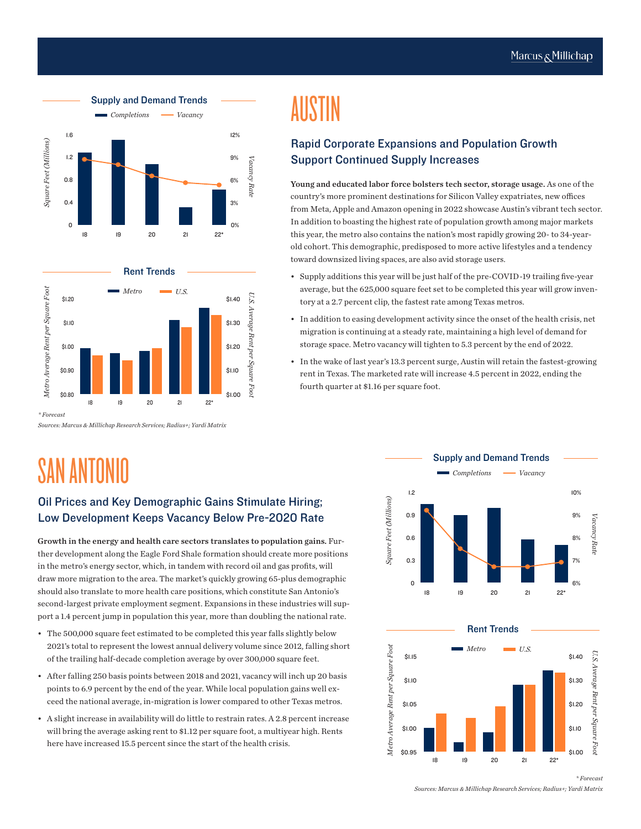



*\* Forecast*

*Sources: Marcus & Millichap Research Services; Radius+; Yardi Matrix*

### SAN ANTONIO

#### Oil Prices and Key Demographic Gains Stimulate Hiring; Low Development Keeps Vacancy Below Pre-2020 Rate

Growth in the energy and health care sectors translates to population gains. Further development along the Eagle Ford Shale formation should create more positions in the metro's energy sector, which, in tandem with record oil and gas profits, will draw more migration to the area. The market's quickly growing 65-plus demographic should also translate to more health care positions, which constitute San Antonio's second-largest private employment segment. Expansions in these industries will support a 1.4 percent jump in population this year, more than doubling the national rate.

- The 500,000 square feet estimated to be completed this year falls slightly below 2021's total to represent the lowest annual delivery volume since 2012, falling short of the trailing half-decade completion average by over 300,000 square feet.
- After falling 250 basis points between 2018 and 2021, vacancy will inch up 20 basis points to 6.9 percent by the end of the year. While local population gains well exceed the national average, in-migration is lower compared to other Texas metros.
- A slight increase in availability will do little to restrain rates. A 2.8 percent increase will bring the average asking rent to \$1.12 per square foot, a multiyear high. Rents here have increased 15.5 percent since the start of the health crisis.

## AUSTIN

#### Rapid Corporate Expansions and Population Growth Support Continued Supply Increases

Young and educated labor force bolsters tech sector, storage usage. As one of the country's more prominent destinations for Silicon Valley expatriates, new offices from Meta, Apple and Amazon opening in 2022 showcase Austin's vibrant tech sector. In addition to boasting the highest rate of population growth among major markets this year, the metro also contains the nation's most rapidly growing 20- to 34-yearold cohort. This demographic, predisposed to more active lifestyles and a tendency toward downsized living spaces, are also avid storage users.

- Supply additions this year will be just half of the pre-COVID-19 trailing five-year average, but the 625,000 square feet set to be completed this year will grow inventory at a 2.7 percent clip, the fastest rate among Texas metros.
- In addition to easing development activity since the onset of the health crisis, net migration is continuing at a steady rate, maintaining a high level of demand for storage space. Metro vacancy will tighten to 5.3 percent by the end of 2022.
- In the wake of last year's 13.3 percent surge, Austin will retain the fastest-growing rent in Texas. The marketed rate will increase 4.5 percent in 2022, ending the fourth quarter at \$1.16 per square foot.





*Sources: Marcus & Millichap Research Services; Radius+; Yardi Matrix*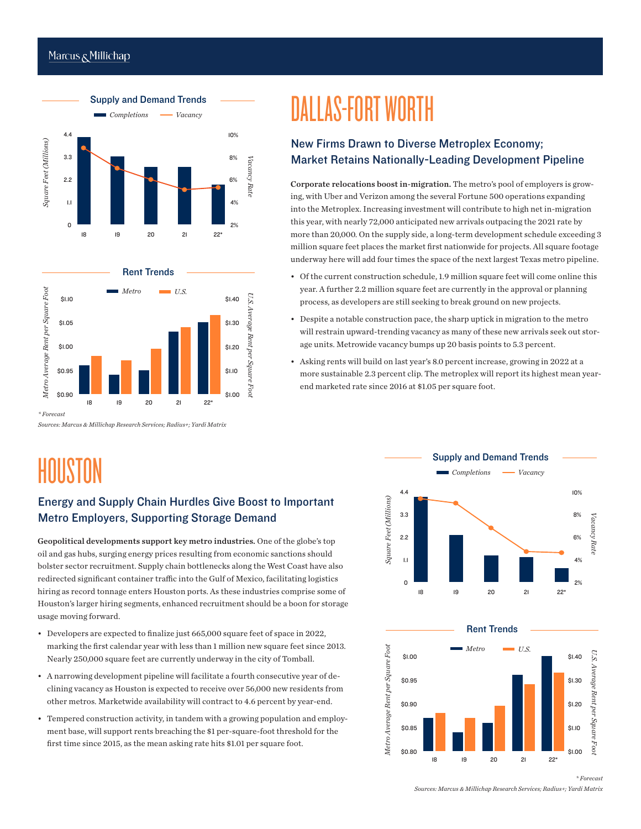#### Marcus & Millichap





*\* Forecast*

*Sources: Marcus & Millichap Research Services; Radius+; Yardi Matrix*

### HOUSTON

#### Energy and Supply Chain Hurdles Give Boost to Important Metro Employers, Supporting Storage Demand

Geopolitical developments support key metro industries. One of the globe's top oil and gas hubs, surging energy prices resulting from economic sanctions should bolster sector recruitment. Supply chain bottlenecks along the West Coast have also redirected significant container traffic into the Gulf of Mexico, facilitating logistics hiring as record tonnage enters Houston ports. As these industries comprise some of Houston's larger hiring segments, enhanced recruitment should be a boon for storage usage moving forward.

- Developers are expected to finalize just 665,000 square feet of space in 2022, marking the first calendar year with less than 1 million new square feet since 2013. Nearly 250,000 square feet are currently underway in the city of Tomball.
- A narrowing development pipeline will facilitate a fourth consecutive year of declining vacancy as Houston is expected to receive over 56,000 new residents from other metros. Marketwide availability will contract to 4.6 percent by year-end.
- Tempered construction activity, in tandem with a growing population and employment base, will support rents breaching the \$1 per-square-foot threshold for the

### DALLAS-FORT WORTH

#### New Firms Drawn to Diverse Metroplex Economy; Market Retains Nationally-Leading Development Pipeline

Corporate relocations boost in-migration. The metro's pool of employers is growing, with Uber and Verizon among the several Fortune 500 operations expanding into the Metroplex. Increasing investment will contribute to high net in-migration this year, with nearly 72,000 anticipated new arrivals outpacing the 2021 rate by more than 20,000. On the supply side, a long-term development schedule exceeding 3 million square feet places the market first nationwide for projects. All square footage underway here will add four times the space of the next largest Texas metro pipeline.

- Of the current construction schedule, 1.9 million square feet will come online this year. A further 2.2 million square feet are currently in the approval or planning process, as developers are still seeking to break ground on new projects.
- Despite a notable construction pace, the sharp uptick in migration to the metro will restrain upward-trending vacancy as many of these new arrivals seek out storage units. Metrowide vacancy bumps up 20 basis points to 5.3 percent.
- Asking rents will build on last year's 8.0 percent increase, growing in 2022 at a more sustainable 2.3 percent clip. The metroplex will report its highest mean yearend marketed rate since 2016 at \$1.05 per square foot.





*Sources: Marcus & Millichap Research Services; Radius+; Yardi Matrix*